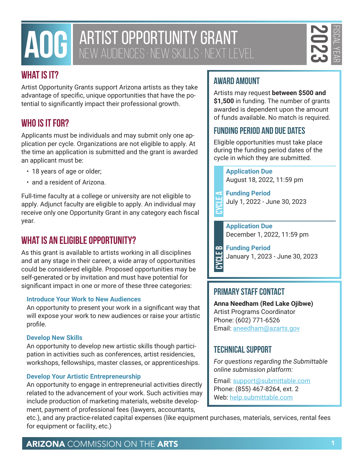# **AOG** ARTIST OPPORTUNITY GRANT NEW AUDIENCES · NEW SKILLS · NEXT LEVEL

# **What is it?**

Artist Opportunity Grants support Arizona artists as they take advantage of specific, unique opportunities that have the potential to significantly impact their professional growth.

# **Who is it for?**

Applicants must be individuals and may submit only one application per cycle. Organizations are not eligible to apply. At the time an application is submitted and the grant is awarded an applicant must be:

- 18 years of age or older;
- and a resident of Arizona.

Full-time faculty at a college or university are not eligible to apply. Adjunct faculty are eligible to apply. An individual may receive only one Opportunity Grant in any category each fiscal year.

# **What is an eligible opportunity?**

**HATIST OPPORTUNITY GRANT COMMISSION COMMISSION COMMISSION COMMISSION AND COMMISSION ON THE ARTS ARENOTES AND COMMISSION COMMISSION AND COMMISSION COMMISSION COMMISSION COMMISSION CONSULTERED AND COMMISSION CONSULTERED ART** As this grant is available to artists working in all disciplines and at any stage in their career, a wide array of opportunities could be considered eligible. Proposed opportunities may be self-generated or by invitation and must have potential for significant impact in one or more of these three categories:

### **Introduce Your Work to New Audiences**

An opportunity to present your work in a significant way that will expose your work to new audiences or raise your artistic profile.

### **Develop New Skills**

An opportunity to develop new artistic skills though participation in activities such as conferences, artist residencies, workshops, fellowships, master classes, or apprenticeships.

### **Develop Your Artistic Entrepreneurship**

An opportunity to engage in entrepreneurial activities directly related to the advancement of your work. Such activities may include production of marketing materials, website development, payment of professional fees (lawyers, accountants,

# **Award Amount**

Artists may request **between \$500 and \$1,500** in funding. The number of grants awarded is dependent upon the amount of funds available. No match is required.

# **Funding Period and Due Dates**

Eligible opportunities must take place during the funding period dates of the cycle in which they are submitted.

> **Application Due** August 18, 2022, 11:59 pm

**Funding Period**<br> **Cycle A**<br> **Cycle A**<br> **Cycle A**<br> **Cycle A**<br> **Cycle A**<br> **Cycle A**<br> **Cycle A**<br> **Cycle A**<br> **Cycle A**<br> **Cycle A**<br> **Cycle A** July 1, 2022 - June 30, 2023

> **Application Due** December 1, 2022, 11:59 pm

**Funding Period** January 1, 2023 - June 30, 2023 **Cycle B**

# **Primary Staff Contact**

**Anna Needham (Red Lake Ojibwe)** Artist Programs Coordinator Phone: (602) 771-6526 Email: [aneedham@azarts.gov](mailto:aneedham@azarts.gov)

# **Technical Support**

*For questions regarding the Submittable online submission platform:* 

Email: [support@submittable.com](mailto:support@submittable.com) Phone: (855) 467-8264, ext. 2 Web: [help.submittable.com](http://help.submittable.com)

etc.), and any practice-related capital expenses (like equipment purchases, materials, services, rental fees for equipment or facility, etc.)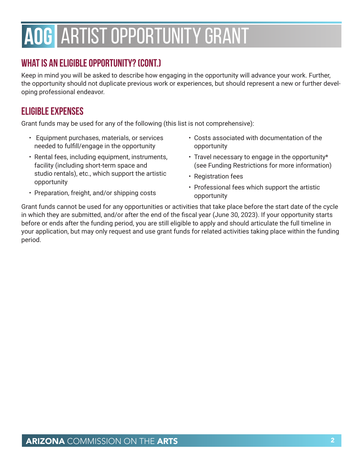# **AOG** ARTIST OPPORTUNITY GRANT

# **What is an eligible opportunity? (cont.)**

Keep in mind you will be asked to describe how engaging in the opportunity will advance your work. Further, the opportunity should not duplicate previous work or experiences, but should represent a new or further developing professional endeavor.

# **Eligible Expenses**

Grant funds may be used for any of the following (this list is not comprehensive):

- Equipment purchases, materials, or services needed to fulfill/engage in the opportunity
- Rental fees, including equipment, instruments, facility (including short-term space and studio rentals), etc., which support the artistic opportunity
- opportunity • Travel necessary to engage in the opportunity\*

• Costs associated with documentation of the

- (see Funding Restrictions for more information)
- Registration fees
- Professional fees which support the artistic opportunity
- Preparation, freight, and/or shipping costs

Grant funds cannot be used for any opportunities or activities that take place before the start date of the cycle in which they are submitted, and/or after the end of the fiscal year (June 30, 2023). If your opportunity starts before or ends after the funding period, you are still eligible to apply and should articulate the full timeline in your application, but may only request and use grant funds for related activities taking place within the funding period.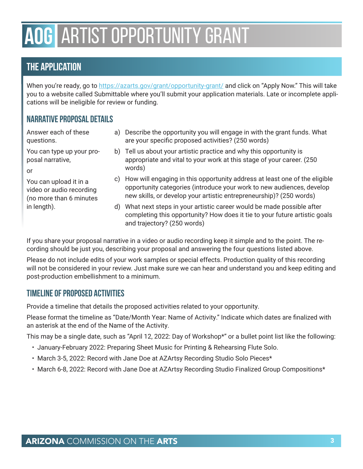# **AOG** ARTIST OPPORTUNITY GRANT

# **The Application**

When you're ready, go to [https://azarts.gov/grant/opportunity-grant/](https://azarts.gov/grant/artist-research-and-development/) and click on "Apply Now." This will take you to a website called Submittable where you'll submit your application materials. Late or incomplete applications will be ineligible for review or funding.

# **Narrative Proposal Details**

Answer each of these questions.

You can type up your proposal narrative,

or

You can upload it in a video or audio recording (no more than 6 minutes in length).

- a) Describe the opportunity you will engage in with the grant funds. What are your specific proposed activities? (250 words)
	- b) Tell us about your artistic practice and why this opportunity is appropriate and vital to your work at this stage of your career. (250 words)
	- c) How will engaging in this opportunity address at least one of the eligible opportunity categories (introduce your work to new audiences, develop new skills, or develop your artistic entrepreneurship)? (250 words)
	- d) What next steps in your artistic career would be made possible after completing this opportunity? How does it tie to your future artistic goals and trajectory? (250 words)

If you share your proposal narrative in a video or audio recording keep it simple and to the point. The recording should be just you, describing your proposal and answering the four questions listed above.

Please do not include edits of your work samples or special effects. Production quality of this recording will not be considered in your review. Just make sure we can hear and understand you and keep editing and post-production embellishment to a minimum.

## **Timeline of Proposed Activities**

Provide a timeline that details the proposed activities related to your opportunity.

Please format the timeline as "Date/Month Year: Name of Activity." Indicate which dates are finalized with an asterisk at the end of the Name of the Activity.

This may be a single date, such as "April 12, 2022: Day of Workshop\*" or a bullet point list like the following:

- January-February 2022: Preparing Sheet Music for Printing & Rehearsing Flute Solo.
- March 3-5, 2022: Record with Jane Doe at AZArtsy Recording Studio Solo Pieces\*
- March 6-8, 2022: Record with Jane Doe at AZArtsy Recording Studio Finalized Group Compositions\*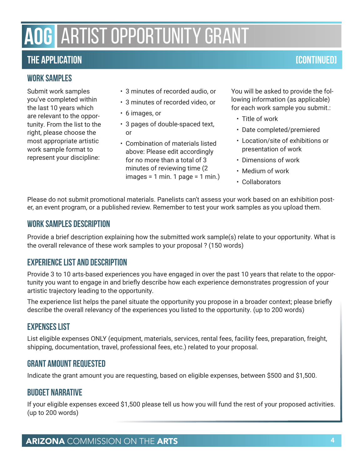# **AOG** ARTIST OPPORTUNITY GRANT

# **The Application [Continued]**

## **Work Samples**

Submit work samples you've completed within the last 10 years which are relevant to the opportunity. From the list to the right, please choose the most appropriate artistic work sample format to represent your discipline:

- 3 minutes of recorded audio, or
- 3 minutes of recorded video, or
- 6 images, or
- 3 pages of double-spaced text, or
- Combination of materials listed above: Please edit accordingly for no more than a total of 3 minutes of reviewing time (2  $images = 1 min. 1 page = 1 min.)$

You will be asked to provide the following information (as applicable) for each work sample you submit.:

- Title of work
- Date completed/premiered
- Location/site of exhibitions or presentation of work
- Dimensions of work
- Medium of work
- Collaborators

Please do not submit promotional materials. Panelists can't assess your work based on an exhibition poster, an event program, or a published review. Remember to test your work samples as you upload them.

### **Work Samples Description**

Provide a brief description explaining how the submitted work sample(s) relate to your opportunity. What is the overall relevance of these work samples to your proposal ? (150 words)

## **Experience List and Description**

Provide 3 to 10 arts-based experiences you have engaged in over the past 10 years that relate to the opportunity you want to engage in and briefly describe how each experience demonstrates progression of your artistic trajectory leading to the opportunity.

The experience list helps the panel situate the opportunity you propose in a broader context; please briefly describe the overall relevancy of the experiences you listed to the opportunity. (up to 200 words)

## **Expenses List**

List eligible expenses ONLY (equipment, materials, services, rental fees, facility fees, preparation, freight, shipping, documentation, travel, professional fees, etc.) related to your proposal.

## **Grant Amount Requested**

Indicate the grant amount you are requesting, based on eligible expenses, between \$500 and \$1,500.

## **Budget Narrative**

If your eligible expenses exceed \$1,500 please tell us how you will fund the rest of your proposed activities. (up to 200 words)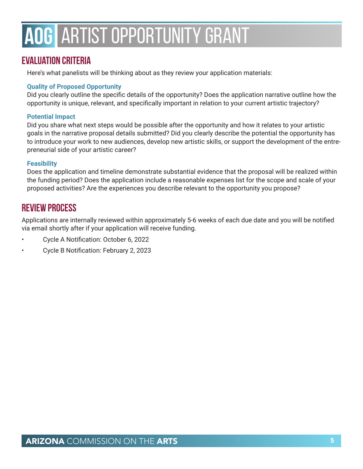# **AOG** ARTIST OPPORTUNITY GRANT

# **Evaluation Criteria**

Here's what panelists will be thinking about as they review your application materials:

### **Quality of Proposed Opportunity**

Did you clearly outline the specific details of the opportunity? Does the application narrative outline how the opportunity is unique, relevant, and specifically important in relation to your current artistic trajectory?

### **Potential Impact**

Did you share what next steps would be possible after the opportunity and how it relates to your artistic goals in the narrative proposal details submitted? Did you clearly describe the potential the opportunity has to introduce your work to new audiences, develop new artistic skills, or support the development of the entrepreneurial side of your artistic career?

### **Feasibility**

Does the application and timeline demonstrate substantial evidence that the proposal will be realized within the funding period? Does the application include a reasonable expenses list for the scope and scale of your proposed activities? Are the experiences you describe relevant to the opportunity you propose?

# **Review Process**

Applications are internally reviewed within approximately 5-6 weeks of each due date and you will be notified via email shortly after if your application will receive funding.

- Cycle A Notification: October 6, 2022
- Cycle B Notification: February 2, 2023